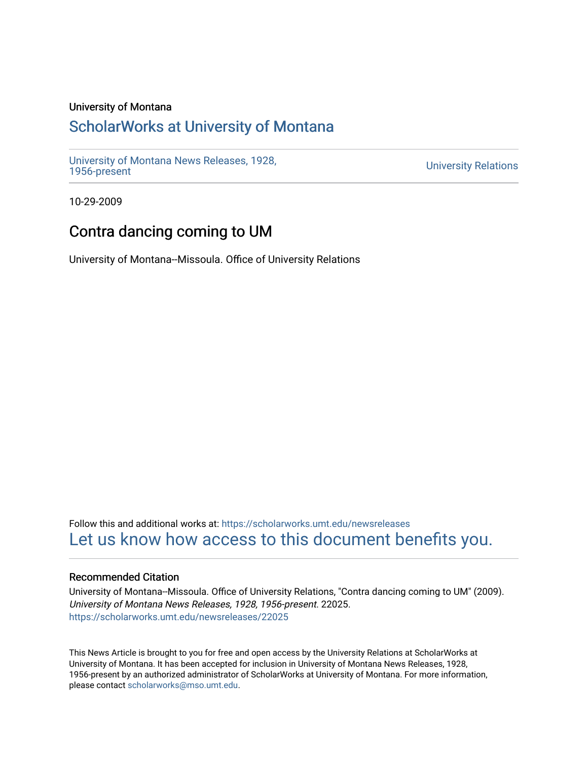## University of Montana

# [ScholarWorks at University of Montana](https://scholarworks.umt.edu/)

[University of Montana News Releases, 1928,](https://scholarworks.umt.edu/newsreleases) 

**University Relations** 

10-29-2009

# Contra dancing coming to UM

University of Montana--Missoula. Office of University Relations

Follow this and additional works at: [https://scholarworks.umt.edu/newsreleases](https://scholarworks.umt.edu/newsreleases?utm_source=scholarworks.umt.edu%2Fnewsreleases%2F22025&utm_medium=PDF&utm_campaign=PDFCoverPages) [Let us know how access to this document benefits you.](https://goo.gl/forms/s2rGfXOLzz71qgsB2) 

### Recommended Citation

University of Montana--Missoula. Office of University Relations, "Contra dancing coming to UM" (2009). University of Montana News Releases, 1928, 1956-present. 22025. [https://scholarworks.umt.edu/newsreleases/22025](https://scholarworks.umt.edu/newsreleases/22025?utm_source=scholarworks.umt.edu%2Fnewsreleases%2F22025&utm_medium=PDF&utm_campaign=PDFCoverPages) 

This News Article is brought to you for free and open access by the University Relations at ScholarWorks at University of Montana. It has been accepted for inclusion in University of Montana News Releases, 1928, 1956-present by an authorized administrator of ScholarWorks at University of Montana. For more information, please contact [scholarworks@mso.umt.edu.](mailto:scholarworks@mso.umt.edu)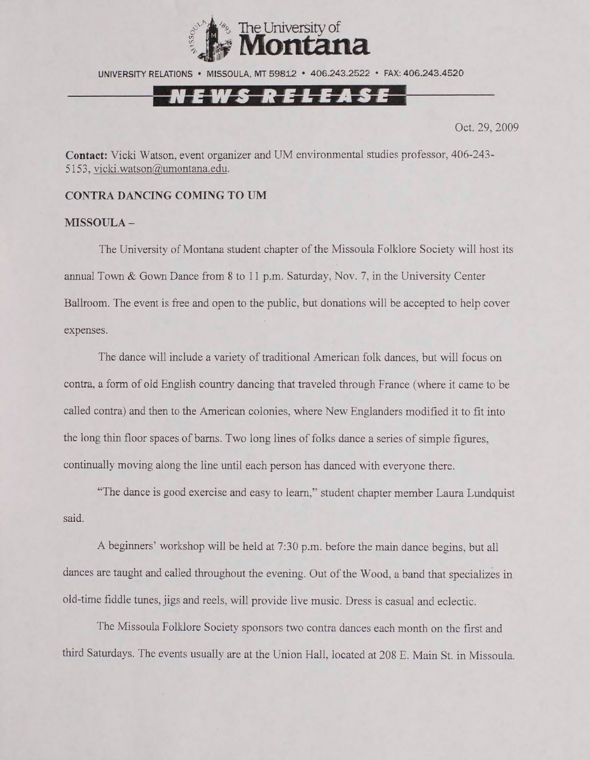

UNIVERSITY RELATIONS • MISSOULA, MT 59812 • 406.243.2522 • FAX: 406.243.4520

## N E W S R E L E A S E

Oct. 29, 2009

**Contact:** Vicki Watson, event organizer and UM environmental studies professor, 406-243- 5153, [vicki.watson@umontana.edu](mailto:vicki.watson@umontana.edu).

### **CONTRA DANCING COMING TO UM**

### **MISSOULA -**

The University of Montana student chapter of the Missoula Folklore Society will host its annual Town & Gown Dance from 8 to 11 p.m. Saturday, Nov. 7, in the University Center Ballroom. The event is free and open to the public, but donations will be accepted to help cover expenses.

The dance will include a variety of traditional American folk dances, but will focus on contra, a form of old English country dancing that traveled through France (where it came to be called contra) and then to the American colonies, where New' Englanders modified it to fit into the long thin floor spaces of bams. Two long lines of folks dance a series of simple figures, continually moving along the line until each person has danced with everyone there.

"The dance is good exercise and easy to learn," student chapter member Laura Lundquist **said.**

A beginners' workshop will be held at 7:30 p.m. before the main dance begins, but all dances are taught and called throughout the evening. Out of the Wood, a band that specializes in old-time fiddle tunes, jigs and reels, will provide live music. Dress is casual and eclectic.

The Missoula Folklore Society sponsors two contra dances each month on the first and third Saturdays. The events usually are at the Union Hall, located at 208 E. Main St. in Missoula.